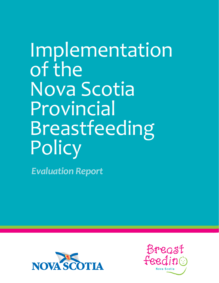Implementation of the Nova Scotia Provincial Breastfeeding **Policy** 

 *Evaluation Report*



Bregst feeding Nova Scotia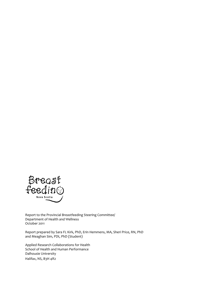

Report to the Provincial Breastfeeding Steering Committee/ Department of Health and Wellness October 2011

Report prepared by Sara FL Kirk, PhD, Erin Hemmens, MA, Sheri Price, RN, PhD and Meaghan Sim, PDt, PhD (Student)

Applied Research Collaborations for Health School of Health and Human Performance Dalhousie University Halifax, NS, B3H 4R2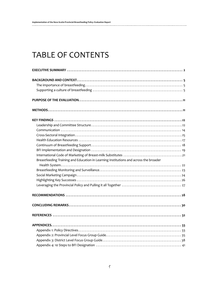# TABLE OF CONTENTS

| Breastfeeding Training and Education in Learning Institutions and across the broader |
|--------------------------------------------------------------------------------------|
|                                                                                      |
|                                                                                      |
|                                                                                      |
|                                                                                      |
|                                                                                      |
|                                                                                      |
|                                                                                      |
|                                                                                      |
|                                                                                      |
|                                                                                      |
|                                                                                      |
|                                                                                      |
|                                                                                      |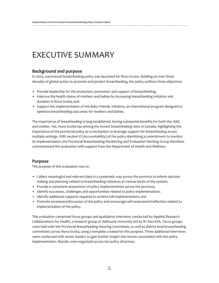# EXECUTIVE SUMMARY

## **Background and purpose**

In 2005, a provincial breastfeeding policy was launched for Nova Scotia. Building on over three decades of global action to promote and protect breastfeeding, the policy outlines three objectives:

- Provide leadership for the protection, promotion and support of breastfeeding;
- • Improve the health status of mothers and babies by increasing breastfeeding initiation and duration in Nova Scotia; and
- • Support the implementation of the Baby Friendly Initiative, an international program designed to optimize breastfeeding outcomes for mothers and babies.

The importance of breastfeeding is long established, having substantial benefits for both the child and mother. Yet, Nova Scotia has among the lowest breastfeeding rates in Canada, highlighting the importance of the provincial policy as a mechanism to leverage support for breastfeeding across multiple settings. With section VI (Accountability) of the policy identifying a commitment to monitor its implementation, the Provincial Breastfeeding Monitoring and Evaluation Working Group therefore commissioned this evaluation with support from the Department of Health and Wellness.

### **Purpose**

The purpose of this evaluation was to:

- • Collect meaningful and relevant data in a systematic way across the province to inform decision making and planning related to breastfeeding initiatives at various levels of the system;
- Provide a consistent assessment of policy implementation across the province;
- Identify successes, challenges and opportunities related to policy implementation;
- Identify additional supports required to achieve full implementation; and
- • Promote awareness/discussion of the policy and encourage self-assessment/reflection related to implementation of the policy.

This evaluation comprised focus groups and qualitative interviews conducted by Applied Research Collaborations for Health, a research group at Dalhousie University led by Dr Sara Kirk. Focus groups were held with the Provincial Breastfeeding Steering Committee, as well as district-level breastfeeding committees across Nova Scotia, using a template created for this purpose. Three additional interviews were conducted with senior leaders to gain further insight into factors associated with the policy implementation. Results were organized across ten policy directives.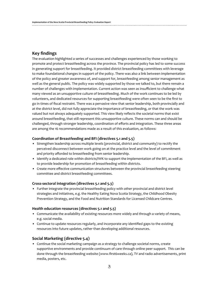### **Key findings**

The evaluation highlighted a series of successes and challenges experienced by those working to promote and protect breastfeeding across the province. The provincial policy has led to some success in generating support for breastfeeding. It provided district breastfeeding committees with leverage to make foundational changes in support of the policy. There was also a link between implementation of the policy and greater awareness of, and support for, breastfeeding among senior management as well as the general public. The policy was widely supported by those we talked to, but there remain a number of challenges with implementation. Current action was seen as insufficient to challenge what many viewed as an unsupportive culture of breastfeeding. Much of the work continues to be led by volunteers, and dedicated resources for supporting breastfeeding were often seen to be the first to go in times of fiscal restraint. There was a pervasive view that senior leadership, both provincially and at the district level, did not fully appreciate the importance of breastfeeding, or that the work was valued but not always adequately supported. This view likely reflects the societal norms that exist around breastfeeding, that still represent this unsupportive culture. These norms can and should be challenged, through stronger leadership, coordination of efforts and integration. These three areas are among the 16 recommendations made as a result of this evaluation, as follows:

#### **Coordination of Breastfeeding and BFI (directives 5.1 and 5.5)**

- • Strengthen leadership across multiple levels (provincial, district and community) to rectify the perceived disconnect between work going on at the practice level and the level of commitment and priority afforded to breastfeeding from senior leadership.
- Identify a dedicated role within districts/IWK to support the implementation of the BFI, as well as to provide leadership for promotion of breastfeeding within districts.
- • Create more effective communication structures between the provincial breastfeeding steering committee and district breastfeeding committees.

#### **Cross-sectoral integration (directives 5.1 and 5.3)**

• Further integrate the provincial breastfeeding policy with other provincial and district level strategies and initiatives, e.g. the Healthy Eating Nova Scotia Strategy, the Childhood Obesity Prevention Strategy, and the Food and Nutrition Standards for Licensed Childcare Centres.

#### **Health education resources (directives 5.1 and 5.5)**

- • Communicate the availability of existing resources more widely and through a variety of means, e.g. social media.
- • Continue to update resources regularly, and incorporate any identified gaps to the existing resources into future updates, rather than developing additional resources.

### **Social Marketing (directive 5.4)**

• Continue the social marketing campaign as a strategy to challenge societal norms, create supportive environments and provide continuum of care through online peer support. This can be done through the breastfeeding website (www.first6weeks.ca), TV and radio advertisements, print media, posters, etc.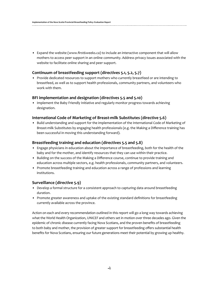• Expand the website (www.first6weeks.ca) to include an interactive component that will allow mothers to access peer support in an online community. Address privacy issues associated with the website to facilitate online sharing and peer support.

### **Continuum of breastfeeding support (directives 5.1, 5.2, 5.7)**

• Provide dedicated resources to support mothers who currently breastfeed or are intending to breastfeed, as well as to support health professionals, community partners, and volunteers who work with them.

#### **BFI implementation and designation (directives 5.5 and 5.10)**

• Implement the Baby Friendly Initiative and regularly monitor progress towards achieving designation.

### **International Code of Marketing of Breast-milk Substitutes (directive 5.6)**

• Build understanding and support for the implementation of the International Code of Marketing of Breast-milk Substitutes by engaging health professionals (e.g. the Making a Difference training has been successful in moving this understanding forward).

#### **Breastfeeding training and education (directives 5.5 and 5.8)**

- • Engage physicians in education about the importance of breastfeeding, both for the health of the baby and for the mother, and identify resources that they can use within their practice.
- • Building on the success of the Making a Difference course, continue to provide training and education across multiple sectors, e.g. health professionals, community partners, and volunteers.
- Promote breastfeeding training and education across a range of professions and learning institutions.

### **Surveillance (directive 5.9)**

- Develop a formal structure for a consistent approach to capturing data around breastfeeding duration.
- • Promote greater awareness and uptake of the existing standard definitions for breastfeeding currently available across the province.

Action on each and every recommendation outlined in this report will go a long way towards achieving what the World Health Organization, UNICEF and others set in motion over three decades ago. Given the epidemic of chronic disease currently facing Nova Scotians, and the proven benefits of breastfeeding to both baby and mother, the provision of greater support for breastfeeding offers substantial health benefits for Nova Scotians, ensuring our future generations meet their potential by growing up healthy.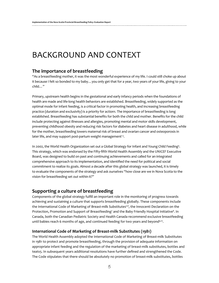# BACKGROUND AND CONTEXT

## **The importance of breastfeeding**

"As a breastfeeding mother, it was the most wonderful experience of my life. I could still choke up about it because I felt so bonded to my baby…you only get that for a year, two years of your life, giving to your child…"

Primary, upstream health begins in the gestational and early infancy periods when the foundations of health are made and life-long health behaviors are established. Breastfeeding, widely supported as the optimal mode for infant feeding, is a critical factor in promoting health, and increasing breastfeeding practice (duration and exclusivity) is a priority for action1. The importance of breastfeeding is long established. Breastfeeding has substantial benefits for both the child and mother. Benefits for the child include protecting against illnesses and allergies, promoting mental and motor skills development, preventing childhood obesity and reducing risk factors for diabetes and heart disease in adulthood, while for the mother, breastfeeding lowers maternal risk of breast and ovarian cancer and osteoporosis in later life, and may support post-partum weight management<sup>13</sup>.

In 2002, the World Health Organization set out a Global Strategy for Infant and Young Child Feeding4 . This strategy, which was endorsed by the Fifty-fifth World Health Assembly and the UNICEF Executive Board, was designed to build on past and continuing achievements and called for an integrated comprehensive approach to its implementation, and identified the need for political and social commitment to realize its goals. Almost a decade after this global strategy was launched, it is timely to evaluate the components of the strategy and ask ourselves "how close are we in Nova Scotia to the vision for breastfeeding set out within it?"

## **Supporting a culture of breastfeeding**

Components of the global strategy fulfill an important role in the monitoring of progress towards achieving and sustaining a culture that supports breastfeeding globally. These components include the International Code of Marketing of Breast-milk Substitutes<sup>5,6</sup>, the Innocenti Declaration on the Protection, Promotion and Support of Breastfeeding<sup>7</sup> and the Baby Friendly Hospital Initiative<sup>8</sup>. In Canada, both the Canadian Pediatric Society and Health Canada recommend exclusive breastfeeding until babies reach 6 months of age, and continued feeding for two years and beyond<sup>9,10</sup>.

### **International Code of Marketing of Breast-milk Substitutes (1981)**

The World Health Assembly adopted the International Code of Marketing of Breast-milk Substitutes in 1981 to protect and promote breastfeeding, through the provision of adequate information on appropriate infant feeding and the regulation of the marketing of breast-milk substitutes, bottles and teats5. In subsequent years additional resolutions have further defined and strengthened the Code. The Code stipulates that there should be absolutely no promotion of breast-milk substitutes, bottles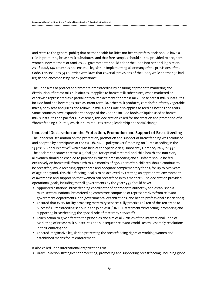and teats to the general public; that neither health facilities nor health professionals should have a role in promoting breast-milk substitutes; and that free samples should not be provided to pregnant women, new mothers or families. All governments should adopt the Code into national legislation. As of 2008, 148 countries had enacted legislation implementing all or many of the provisions of the Code. This includes 34 countries with laws that cover all provisions of the Code, while another 50 had  $legislation$  encompassing many provisions $6$ .

The Code aims to protect and promote breastfeeding by ensuring appropriate marketing and distribution of breast-milk substitutes. It applies to breast-milk substitutes, when marketed or otherwise represented as a partial or total replacement for breast-milk. These breast-milk substitutes include food and beverages such as infant formula, other milk products, cereals for infants, vegetable mixes, baby teas and juices and follow-up milks. The Code also applies to feeding bottles and teats. Some countries have expanded the scope of the Code to include foods or liquids used as breastmilk substitutes and pacifiers. In essence, this declaration called for the creation and promotion of a "breastfeeding culture", which in turn requires strong leadership and social change.

#### **Innocenti Declaration on the Protection, Promotion and Support of Breastfeeding**

The Innocenti Declaration on the protection, promotion and support of breastfeeding was produced and adopted by participants at the WHO/UNICEF policymakers' meeting on "Breastfeeding in the 1990s: A Global Initiative" which was held at the Spedale degli Innocenti, Florence, Italy, in 1990 $^7$ . The declaration states that "as a global goal for optimal maternal and child health and nutrition, all women should be enabled to practice exclusive breastfeeding and all infants should be fed exclusively on breast milk from birth to 4-6 months of age. Thereafter, children should continue to be breastfed, while receiving appropriate and adequate complementary foods, for up to two years of age or beyond. This child-feeding ideal is to be achieved by creating an appropriate environment of awareness and support so that women can breastfeed in this manner". The declaration provided operational goals, including that all governments by the year 1995 should have:

- • Appointed a national breastfeeding coordinator of appropriate authority, and established a multi-sectoral national breastfeeding committee composed of representatives from relevant government departments, non-governmental organizations, and health professional associations;
- • Ensured that every facility providing maternity services fully practices all ten of the Ten Steps to Successful Breastfeeding set out in the joint WHO/UNICEF statement "Protecting, promoting and supporting breastfeeding; the special role of maternity services";
- • Taken action to give effect to the principles and aim of all Articles of the International Code of Marketing of Breast-milk Substitutes and subsequent relevant World Health Assembly resolutions in their entirety; and
- Enacted imaginative legislation protecting the breastfeeding rights of working women and established means for its enforcement.

It also called upon international organizations to:

• Draw up action strategies for protecting, promoting and supporting breastfeeding, including global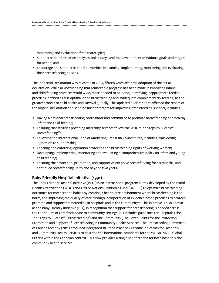monitoring and evaluation of their strategies;

- Support national situation analyses and surveys and the development of national goals and targets for action; and
- Encourage and support national authorities in planning, implementing, monitoring and evaluating their breastfeeding policies.

The Innocenti Declaration was revisited in 2005, fifteen years after the adoption of the initial declaration. While acknowledging that remarkable progress has been made in improving infant and child feeding practices world wide, more needed to be done, identifying inappropriate feeding practices, defined as sub-optimal or no breastfeeding and inadequate complementary feeding, as the greatest threat to child health and survival globally. This updated declaration reaffirmed the tenets of the original declaration and set nine further targets for improving breastfeeding support, including:

- • Having a national breastfeeding coordinator and committee to promote breastfeeding and healthy infant and child feeding;
- Ensuring that facilities providing maternity services follow the WHO "Ten Steps to Successful Breastfeeding";
- • Following the International Code of Marketing Breast-milk Substitutes, including considering legislation to support this;
- Enacting and enforcing legislation protecting the breastfeeding rights of working women;
- • Developing, implementing, monitoring and evaluating a comprehensive policy on infant and young child feeding;
- • Ensuring the protection, promotion, and support of exclusive breastfeeding for six months, and continued breastfeeding up to and beyond two years.

### **Baby Friendly Hospital Initiative (1991)**

The Baby-Friendly Hospital Initiative (BFHI) is an international program jointly developed by the World Health Organization (WHO) and United Nations Children's Fund (UNICEF) to optimize breastfeeding outcomes for mothers and babies by creating a health care environment where breastfeeding is the norm, and improving the quality of care through incorporation of evidence-based practices to protect, promote and support breastfeeding in hospitals and in the community<sup>7,8</sup>. This initiative is also known as the Baby Friendly Initiative (BFI), in recognition that support for breastfeeding is needed across the continuum of care from acute to community settings. BFI includes guidelines for Hospitals (The Ten Steps to Successful Breastfeeding) and the Community (The Seven Points for the Protection, Promotion and Support of Breastfeeding in Community Health Services. The Breastfeeding Committee of Canada recently (2011) produced Integrated 10 Steps Practice Outcome Indicators for Hospitals and Community Health Services to describe the international standards for the WHO/UNICEF Global Criteria within the Canadian context. This now provides a single set of criteria for both hospitals and community health services.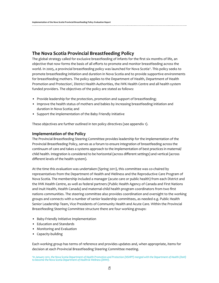# **The Nova Scotia Provincial Breastfeeding Policy**

The global strategy called for exclusive breastfeeding of infants for the first six months of life, an objective that now forms the basis of all efforts to promote and monitor breastfeeding across the world. In 2005, a provincial breastfeeding policy was launched for Nova Scotia". This policy seeks to promote breastfeeding initiation and duration in Nova Scotia and to provide supportive environments for breastfeeding mothers. The policy applies to the Department of Health, Department of Health Promotion and Protection', District Health Authorities, the IWK Health Centre and all health system funded providers. The objectives of the policy are stated as follows:

- Provide leadership for the protection, promotion and support of breastfeeding;
- • Improve the health status of mothers and babies by increasing breastfeeding initiation and duration in Nova Scotia; and
- • Support the implementation of the Baby Friendly Initiative

These objectives are further outlined in ten policy directives (see appendix 1).

#### **Implementation of the Policy**

The Provincial Breastfeeding Steering Committee provides leadership for the implementation of the Provincial Breastfeeding Policy, serves as a forum to ensure integration of breastfeeding across the continuum of care and takes a systems approach to the implementation of best practices in maternal/ child health. Integration is considered to be horizontal (across different settings) and vertical (across different levels of the health system).

At the time this evaluation was undertaken (Spring 2011), this committee was co-chaired by representatives from the Department of Health and Wellness and the Reproductive Care Program of Nova Scotia. The membership included a manager (acute care or public health) from each District and the IWK Health Centre, as well as federal partners (Public Health Agency of Canada and First Nations and Inuit Health, Health Canada) and maternal-child health program coordinators from two first nations communities. The steering committee also provides coordination and oversight to the working groups and connects with a number of senior leadership committees, as needed e.g. Public Health Senior Leadership Team, Vice Presidents of Community Health and Acute Care. Within the Provincial Breastfeeding Steering Committee structure there are four working groups:

- • Baby-Friendly Initiative Implementation
- • Education and Standards
- Monitoring and Evaluation
- • Capacity-building

Each working group has terms of reference and provides updates and, when appropriate, items for decision at each Provincial Breastfeeding Steering Committee meeting.

*a In January 2011, the Nova Scotia Department of Health Promotion and Protection (NSHPP) merged with the Department of Health (DoH) to become the Nova Scotia Department of Health & Wellness (DHW).*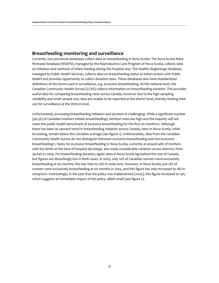## **Breastfeeding monitoring and surveillance**

Currently, two provincial databases collect data on breastfeeding in Nova Scotia. The Nova Scotia Atlee Perinatal Database (NSAPD), managed by the Reproductive Care Program of Nova Scotia, collects data on initiation and methods of infant feeding during the hospital stay. The Healthy Beginnings Database, managed by Public Health Services, collects data on breastfeeding status at initial contact with Public Health and provides opportunity to collect duration rates. These databases also have standardized definitions of the terms used in surveillance, e.g. exclusive breastfeeding. At the national level, the Canadian Community Health Survey (CCHS) collects information on breastfeeding duration. This provides useful data for comparing breastfeeding rates across Canada, however due to the high sampling variability and small sample size, data are unable to be reported at the district level, thereby limiting their use for surveillance at the District level.

Unfortunately, increasing breastfeeding initiation and duration is challenging. While a significant number (90.3%) of Canadian mothers initiate breastfeeding1, attrition rates are high and the majority will not meet this public health benchmark of exclusive breastfeeding for the first six months12. Although there has been an upward trend in breastfeeding initiation across Canada, rates in Nova Scotia, while increasing, remain below the Canadian average (see figure 1). Unfortunately, data from the Canadian Community Health Survey do not distinguish between exclusive breastfeeding and non-exclusive breastfeeding11. Rates for exclusive breastfeeding in Nova Scotia, currently at around 48% of mothers with live births at the time of hospital discharge, also mask considerable variation across districts, from 36-64% in 2009. For breastfeeding duration, again rates in Nova Scotia lag behind the rest of Canada, but figures are disturbingly low in both cases. In 2003, only 20% of Canadian women were exclusively breastfeeding at six months; this has risen to 26% in 2009-2010. However, in Nova Scotia, just 16% of women were exclusively breastfeeding at six months in 2003, and this figure has only increased to 18% in 2009/2010. Interestingly, in the year that the policy was implemented (2005), this figure increased to 19%, which suggests an immediate impact of the policy, albeit small (see figure 2).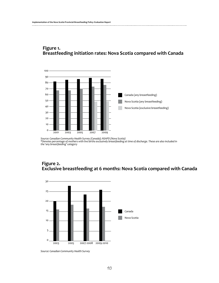

# **Figure 1. Breastfeeding initiation rates: Nova Scotia compared with Canada**

*Source: Canadian Community Health Survey (Canada); NSAPD (Nova Scotia) \*Denotes percentage of mothers with live births exclusively breastfeeding at time of discharge. These are also included in the 'any breastfeeding' category* 





*Source: Canadian Community Health Survey*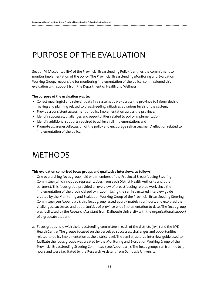# PURPOSE OF THE EVALUATION

Section VI (Accountability) of the Provincial Breastfeeding Policy identifies the commitment to monitor implementation of the policy. The Provincial Breastfeeding Monitoring and Evaluation Working Group, responsible for monitoring implementation of the policy, commissioned this evaluation with support from the Department of Health and Wellness.

#### **The purpose of the evaluation was to:**

- • Collect meaningful and relevant data in a systematic way across the province to inform decision making and planning related to breastfeeding initiatives at various levels of the system;
- Provide a consistent assessment of policy implementation across the province;
- Identify successes, challenges and opportunities related to policy implementation;
- Identify additional supports required to achieve full implementation; and
- • Promote awareness/discussion of the policy and encourage self-assessment/reflection related to implementation of the policy.

# **METHODS**

#### **This evaluation comprised focus groups and qualitative interviews, as follows:**

- 1. One overarching focus group held with members of the Provincial Breastfeeding Steering Committee (which included representatives from each District Health Authority and other partners). This focus group provided an overview of breastfeeding related work since the implementation of the provincial policy in 2005. Using the semi-structured interview guide created by the Monitoring and Evaluation Working Group of the Provincial Breastfeeding Steering Committee (see Appendix 2), this focus group lasted approximately four hours, and explored the challenges, successes and opportunities of province-wide implementation to date. The focus group was facilitated by the Research Assistant from Dalhousie University with the organizational support of a graduate student.
- 2. Focus groups held with the breastfeeding committee in each of the districts (n=9) and the IWK Health Centre. The groups focused on the perceived successes, challenges and opportunities related to policy implementation at the district level. The semi structured interview guide used to facilitate the focus groups was created by the Monitoring and Evaluation Working Group of the Provincial Breastfeeding Steering Committee (see Appendix 3). The focus groups ran from 1.5 to 3 hours and were facilitated by the Research Assistant from Dalhousie University.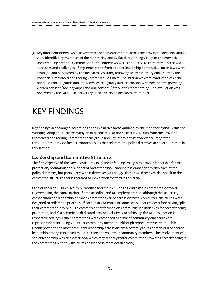3. Key informant interviews held with three senior leaders from across the province. These individuals were identified by members of the Monitoring and Evaluation Working Group of the Provincial Breastfeeding Steering Committee and the interviews were conducted to capture the perceived successes and challenges of implementation from a senior leadership perspective. Interviews were arranged and conducted by the Research Assistant, following an introductory email sent by the Provincial Breastfeeding Steering Committee Co-Chairs. The interviews were conducted over the phone. All focus groups and interviews were digitally audio recorded, with participants providing written consent (focus groups) and oral consent (interviews) for recording. The evaluation was reviewed by the Dalhousie University Health Sciences Research Ethics Board.

# KEY FINDINGS

Key findings are arranged according to the evaluative areas outlined by the Monitoring and Evaluation Working Group and focus primarily on data collected at the district level. Data from the Provincial Breastfeeding Steering Committee focus group and key informant interviews are integrated throughout to provide further context. Issues that relate to the policy directives are also addressed in this section.

## **Leadership and Committee Structure**

The first objective of the Nova Scotia Provincial Breastfeeding Policy is to provide leadership for the protection, promotion and support of breastfeeding. Leadership is embedded within each of the policy directives, but particularly within directives 5.1 and 5.5. These two directives also speak to the committee structure that is required to move work forward in this area.

Each of the nine District Health Authorities and the IWK Health Centre had a committee devoted to overseeing the coordination of breastfeeding and BFI implementation, although the structure, composition and leadership of those committees varied across districts. Committee structures were designed to reflect the priorities of each District/Centre. In some cases, districts described having split their committees into two: 1) a committee that focused on community-led initiatives for breastfeeding promotion, and 2) a committee dedicated almost exclusively to achieving the BFI designation in respective settings. Other committees were comprised of a mix of community and acute care representation, including volunteer community members. Although representatives from Public Health provided the most prominent leadership across districts, several groups demonstrated shared leadership among Public Health, Acute Care and volunteer community members. The involvement of senior leadership was also described, which may reflect greater commitment towards breastfeeding in the committees with this structure (described in more detail below).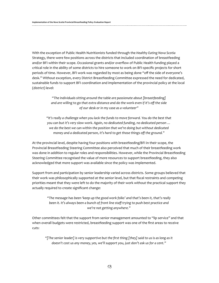With the exception of Public Health Nutritionists funded through the *Healthy Eating Nova Scotia* Strategy, there were few positions across the districts that included coordination of breastfeeding and/or BFI within their scope. Occasional grants and/or overflow of Public Health funding played a critical role in the ability of some districts to hire someone to work on BFI-specific projects for short periods of time. However, BFI work was regarded by most as being done "off the side of everyone's desk." Without exception, every District Breastfeeding Committee expressed the need for dedicated, sustainable funds to support BFI coordination and implementation of the provincial policy at the local (district) level:

> *"The individuals sitting around the table are passionate about [breastfeeding] and are willing to go that extra distance and do the work even if it's off the side of our desk or in my case as a volunteer"*

*"It's really a challenge when you lack the funds to move forward. You do the best that you can but it's very slow work. Again, no dedicated funding, no dedicated person … we do the best we can within the position that we're doing but without dedicated money and a dedicated person, it's hard to get those things off the ground."*

At the provincial level, despite having four positions with breastfeeding/BFI in their scope, the Provincial Breastfeeding Steering Committee also perceived that much of their breastfeeding work was done in addition to regular roles and responsibilities. However, while the Provincial Breastfeeding Steering Committee recognised the value of more resources to support breastfeeding, they also acknowledged that more support was available since the policy was implemented.

Support from and participation by senior leadership varied across districts. Some groups believed that their work was philosophically supported at the senior level, but that fiscal restraints and competing priorities meant that they were left to do the majority of their work without the practical support they actually required to create significant change:

*"The message has been 'keep up the good work folks' and that's been it, that's really been it. It's always been a bunch of front line staff trying to push best practice and we're not getting anywhere."* 

Other committees felt that the support from senior management amounted to "lip service" and that when overall budgets were restricted, breastfeeding support was one of the first areas to receive cuts:

*"[The senior leader] is very supportive but the first thing [they] said to us is as long as it doesn't cost us any money, yes, we'll support you, just don't ask us for a cent."*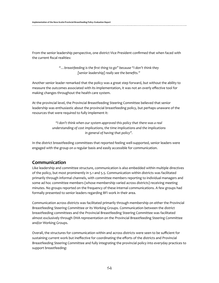From the senior leadership perspective, one district Vice President confirmed that when faced with the current fiscal realities:

> *"…breastfeeding is the first thing to go" because "I don't think they [senior leadership] really see the benefits."*

Another senior leader remarked that the policy was a great step forward, but without the ability to measure the outcomes associated with its implementation, it was not an overly effective tool for making changes throughout the health care system.

At the provincial level, the Provincial Breastfeeding Steering Committee believed that senior leadership was enthusiastic about the provincial breastfeeding policy, but perhaps unaware of the resources that were required to fully implement it:

> *"I don't think when our system approved this policy that there was a real understanding of cost implications, the time implications and the implications in general of having that policy".*

In the district breastfeeding committees that reported feeling well-supported, senior leaders were engaged with the group on a regular basis and easily accessible for communication.

## **Communication**

Like leadership and committee structure, communication is also embedded within multiple directives of the policy, but most prominently in 5.1 and 5.5. Communication within districts was facilitated primarily through informal channels, with committee members reporting to individual managers and some ad hoc committee members (whose membership varied across districts) receiving meeting minutes. No groups reported on the frequency of these internal communications. A few groups had formally presented to senior leaders regarding BFI work in their area.

Communication across districts was facilitated primarily through membership on either the Provincial Breastfeeding Steering Committee or its Working Groups. Communication between the district breastfeeding committees and the Provincial Breastfeeding Steering Committee was facilitated almost exclusively through DHA representation on the Provincial Breastfeeding Steering Committee and/or Working Groups.

Overall, the structures for communication within and across districts were seen to be sufficient for sustaining current work but ineffective for coordinating the efforts of the districts and Provincial Breastfeeding Steering Committee and fully integrating the provincial policy into everyday practices to support breastfeeding: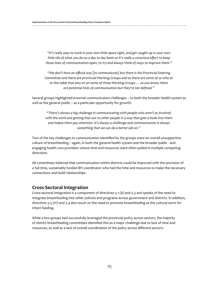*"It's really easy to work in your own little space right, and get caught up in your own little silo of what you do on a day to day basis so it's really a conscious effort to keep those lines of communication open, to try and always think of ways to improve them."*

*"We don't have an official way [to communicate] but there is the Provincial Steering Committee and there are provincial Working Groups and so there are some of us who sit at this table that also sit on some of those Working Groups … so you know, there are potential lines of communication but they're not defined."*

Several groups highlighted external communication challenges – to both the broader health system as well as the general public – as a particular opportunity for growth:

*"There's always a big challenge in communicating with people who aren't as involved with the work and getting that out to other people in a way that gets a hook into them and makes them pay attention. It's always a challenge and communication is always something that we can do a better job on."*

Two of the key challenges to communication identified by the groups were an overall unsupportive culture of breastfeeding – again, in both the general health system and the broader public - and engaging health care providers whose time and resources were often pulled in multiple competing directions.

All committees believed that communication within districts could be improved with the provision of a full time, sustainably funded BFI coordinator who had the time and resources to make the necessary connections and build relationships.

## **Cross-Sectoral Integration**

Cross-sectoral integration is a component of directives 5.1 (b) and 5.3 and speaks of the need to integrate breastfeeding into other policies and programs across government and districts. In addition, directives 5.5 (IV) and 5.4 also touch on the need to promote breastfeeding as the cultural norm for infant feeding.

While a few groups had successfully leveraged the provincial policy across sectors, the majority of district breastfeeding committees identified this as a major challenge due to lack of time and resources, as well as a lack of overall coordination of the policy across different sectors: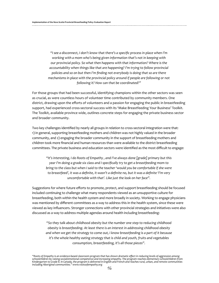*"I see a disconnect, I don't know that there's a specific process in place when I'm working with a mom who's being given information that's not in keeping with our provincial policy. So what then happens with that information? Where is the accountability when things like that are happening? I'm trying to follow provincial policies and so on but then I'm finding not everybody is doing that so are there mechanisms in place with the provincial policy around if people are following or not following it? How can that be coordinated?"*

For those groups that had been successful, identifying champions within the other sectors was seen as crucial, as were countless hours of volunteer time contributed by community members. One district, drawing upon the efforts of volunteers and a passion for engaging the public in breastfeeding support, had experienced cross-sectoral success with its 'Make Breastfeeding Your Business' Toolkit. The Toolkit, available province wide, outlines concrete steps for engaging the private business sector and broader community.

Two key challenges identified by nearly all groups in relation to cross-sectoral integration were that: 1) in general, supporting breastfeeding mothers and children was not highly valued in the broader community, and 2) engaging the broader community in the support of breastfeeding mothers and children took more financial and human resources than were available to the district breastfeeding committees. The private business and education sectors were identified as the most difficult to engage:

*"It's interesting, I do Roots of Empathy , and I've always done [grade] primary but this year I'm doing a grade six class and I specifically try to get a breastfeeding mom to bring to the class but when I said to the teacher 'would you be comfortable if she were to breastfeed', it was a definite, it wasn't a definite no, but it was a definite 'I'm very uncomfortable with that'. Like just the look on her face".* 

Suggestions for where future efforts to promote, protect, and support breastfeeding should be focused included continuing to challenge what many respondents viewed as an unsupportive culture for breastfeeding, both within the health system and more broadly in society. Working to engage physicians was mentioned by different committees as a way to address this in the health system, since these were viewed as key influencers. Stronger connections with other provincial strategies and initiatives were also discussed as a way to address multiple agendas around health including breastfeeding:

*"So they talk about childhood obesity but the number one step to reducing childhood obesity is breastfeeding. At least there is an interest in addressing childhood obesity and when we get the strategy to come out, I know breastfeeding is a part of it because it's the whole healthy eating strategy that is child and youth, fruits and vegetables consumption, breastfeeding, it's all those pieces".*

*<sup>&</sup>quot;Roots of Empathy is an evidence-based classroom program that has shown dramatic effect in reducing levels of aggression among schoolchildren by raising social/emotional competence and increasing empathy. The program reaches elementary schoolchildren from Kindergarten to Grade 8. In Canada, the program is delivered in English and French and reaches rural, urban, and remote communities including Aboriginal communities." www.rootsofempathy.org*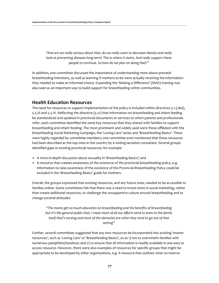*"And are we really serious about that, do we really want to decrease obesity and really look at preventing diseases long-term? This is where it starts. And really support these people to continue. So how do we plan on doing that?"*

In addition, one committee discussed the importance of understanding more about prenatal breastfeeding intentions, as well as learning if mothers-to-be were actually receiving the information they needed to make an informed choice. Expanding the 'Making a Difference' (MAD) training was also seen as an important way to build support for breastfeeding within communities.

## **Health Education Resources**

The need for resources to support implementation of the policy is included within directives 5.1 (c&d), 5.5.III and 5.5.IV. Reflecting the directive (5.1c) that information on breastfeeding and infant feeding be standardized and updated in provincial documents or services to which parents and professionals refer, each committee identified the same key resources that they shared with families to support breastfeeding and infant feeding. The most prominent and widely used were those affiliated with the breastfeeding Social Marketing Campaign, the 'Loving Care' series and 'Breastfeeding Basics'. These were highly regarded by committee members; one committee even mentioned that these resources had been described as the top ones in the country by a visiting lactation consultant. Several groups identified gaps in existing provincial resources; for example:

- A more in-depth discussion about sexuality in 'Breastfeeding Basics'; and
- • A resource that creates awareness of the existence of the provincial breastfeeding policy, e.g. information to raise awareness of the existence of the Provincial Breastfeeding Policy could be included in the 'Breastfeeding Basics' guide for mothers.

Overall, the groups expressed that existing resources, and any future ones, needed to be accessible to families online. Some committees felt that there was a need to invest more in social marketing, rather than create additional resources, to challenge the unsupportive culture around breastfeeding and to change societal attitudes:

*"The moms get so much education on breastfeeding and the benefits of breastfeeding but it's the general public that, I mean most of all our efforts tend to stem to the family itself that's nursing and most of the obstacles are when they tend to go out of that setting"*

Further, several committees suggested that any new resources be incorporated into existing 'master resources', such as 'Loving Care' or 'Breastfeeding Basics', so as 1) not to overwhelm families with numerous pamphlets/handouts and 2) to ensure that all information is readily available in one easy to access resource. However, there were also examples of resources for specific groups that might be appropriate to be developed by other organizations, e.g. A resource that outlines what on-reserve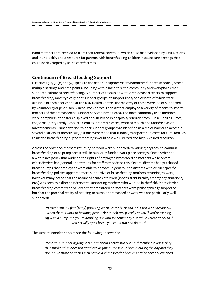Band members are entitled to from their federal coverage, which could be developed by First Nations and Inuit Health, and a resource for parents with breastfeeding children in acute care settings that could be developed by acute care facilities.

### **Continuum of Breastfeeding Support**

Directives 5.2, 5.1(e) and 5.7 speak to the need for supportive environments for breastfeeding across multiple settings and time-points, including within hospitals, the community and workplaces that support a culture of breastfeeding. A number of resources were cited across districts to support breastfeeding, most typically peer support groups or support lines, one or both of which were available in each district and at the IWK Health Centre. The majority of these were led or supported by volunteer groups or Family Resource Centres. Each district employed a variety of means to inform mothers of the breastfeeding support services in their area. The most commonly used methods were pamphlets or posters displayed or distributed in hospitals, referrals from Public Health Nurses, fridge magnets, Family Resource Centres, prenatal classes, word of mouth and radio/television advertisements. Transportation to peer support groups was identified as a major barrier to access in several districts: numerous suggestions were made that funding transportation costs for rural families to attend breastfeeding support meetings would be a well utilized and highly valued resource.

Across the province, mothers returning to work were supported, to varying degrees, to continue breastfeeding or to pump breast-milk in publically funded work place settings. One district had a workplace policy that outlined the rights of employed breastfeeding mothers while several other districts had general orientations for staff that address this. Several districts had purchased breast pumps that employees were able to borrow. In general, the districts with district specific breastfeeding policies appeared more supportive of breastfeeding mothers returning to work, however many noted that the nature of acute care work (inconsistent breaks, emergency situations, etc.) was seen as a direct hindrance to supporting mothers who worked in the field. Most district breastfeeding committees believed that breastfeeding mothers were philosophically supported but that the practical reality of needing to pump or breastfeed at work was not particularly well supported:

*"I tried with my first [baby] pumping when I came back and it did not work because… when there's work to be done, people don't look real friendly at you if you're running off with a pump and you're doubling up work for somebody else while you're gone, so if you actually get a break you could run and do it…"* 

The same respondent also made the following observation:

*"and this isn't being judgmental either but there's not one staff member in our facility that smokes that does not get three or four extra smoke breaks during the day and they don't take those on their lunch breaks and their coffee breaks, they're never questioned*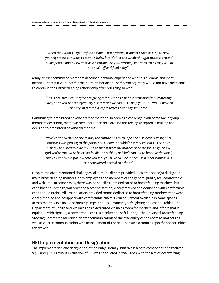*when they want to go out for a smoke…but granted, it doesn't take as long to have your cigarette as it does to nurse a baby, but it's just the whole thought process around it, like people don't view that as a hindrance to your working line as much as they would to sneak off and feed baby".*

Many district committee members described personal experience with this dilemma and most identified that if it were not for their determination and self-advocacy, they would not have been able to continue their breastfeeding relationship after returning to work:

*"HR is not involved, they're not giving information to people returning from maternity leave, so 'if you're breastfeeding, here's what we can do to help you.' You would have to be very interested and proactive to get any support."* 

Continuing to breastfeed beyond six months was also seen as a challenge, with some focus group members describing their own personal experience around not feeling accepted in making the decision to breastfeed beyond six months:

*"We've got to change the minds, the culture has to change because even nursing at 22 months I was getting to the point, and I know I shouldn't have been, but to the point where I felt I had to hide it. I had to hide it from my mother because she'd say 'oh my god you're too old to be breastfeeding this child', or 'she's too old to be breastfeeding', but you get to the point where you feel you have to hide it because it's not normal, it's not considered normal to others".* 

Despite the aforementioned challenges, all but one district provided dedicated space(s) designed to make breastfeeding mothers, both employees and members of the general public, feel comfortable and welcome. In some cases, there was no specific room dedicated to breastfeeding mothers, but each hospital in the region provided a seating section, clearly marked and equipped with comfortable chairs and curtains. All other districts provided rooms dedicated to breastfeeding mothers that were clearly marked and equipped with comfortable chairs. Extra equipment available in some spaces across the province included breast pumps, fridges, ottomans, soft lighting and change tables. The Department of Health and Wellness has a dedicated wellness room for mothers and infants that is equipped with signage, a comfortable chair, a blanket and soft lighting. The Provincial Breastfeeding Steering Committee identified clearer communication of the availability of the room to mothers as well as clearer communication with management of the need for such a room as specific opportunities for growth.

### **BFI Implementation and Designation**

The implementation and designation of the Baby Friendly Initiative is a core component of directives 5.5.V and 5.10. Previous evaluation of BFI was conducted in 2004-2005 with the aim of determining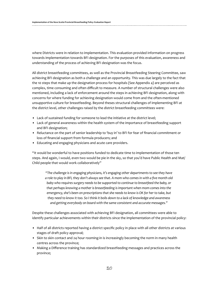where Districts were in relation to implementation. This evaluation provided information on progress towards implementation towards BFI designation. For the purposes of this evaluation, awareness and understanding of the process of achieving BFI designation was the focus.

All district breastfeeding committees, as well as the Provincial Breastfeeding Steering Committee, saw achieving BFI designation as both a challenge and an opportunity. This was due largely to the fact that the 10 steps that make up the designation process for hospitals (See Appendix 4) are perceived as complex, time consuming and often difficult to measure. A number of structural challenges were also mentioned, including a lack of enforcement around the steps in achieving BFI designation, along with concerns for where funding for achieving designation would come from and the often-mentioned unsupportive culture for breastfeeding. Beyond theses structural challenges of implementing BFI at the district level, other challenges raised by the district breastfeeding committees were:

- Lack of sustained funding for someone to lead the initiative at the district level;
- • Lack of general awareness within the health system of the importance of breastfeeding support and BFI designation;
- • Reluctance on the part of senior leadership to 'buy in' to BFI for fear of financial commitment or loss of financial support from formula producers; and
- • Educating and engaging physicians and acute care providers.

"It would be wonderful to have positions funded to dedicate time to implementation of those ten steps. And again, I would, even two would be pie in the sky, so that you'd have Public Health and Mat/ Child people that would work collaboratively"

*"The challenge is in engaging physicians, it's engaging other departments to see they have a role to play in BFI, they don't always see that. A mom who comes in with a five month old baby who requires surgery needs to be supported to continue to breastfeed the baby, or that perhaps knowing a mother is breastfeeding is important when mom comes into the emergency, she's been on prescriptions that she needs to know is OK for her to take, but they need to know it too. So I think it boils down to a lack of knowledge and awareness and getting everybody on board with the same consistent and accurate messages."*

Despite these challenges associated with achieving BFI designation, all committees were able to identify particular achievements within their districts since the implementation of the provincial policy:

- • Half of all districts reported having a district specific policy in place with all other districts at various stages of draft policy approval;
- Skin to skin contact and 24 hour rooming-in is increasingly becoming the norm in many health centres across the province;
- • Making a Difference training has standardized breastfeeding messages and practices across the province;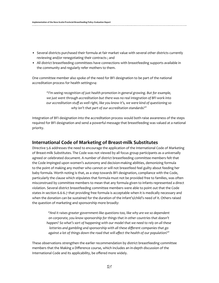- • Several districts purchased their formula at fair market value with several other districts currently reviewing and/or renegotiating their contracts ; and
- • All district breastfeeding committees have connections with breastfeeding supports available in the community and regularly refer mothers to them.

One committee member also spoke of the need for BFI designation to be part of the national accreditation process for health settings14:

*"I'm seeing recognition of just health promotion in general growing. But for example, we just went through accreditation but there was no real integration of BFI work into our accreditation stuff as well right, like you know it's, we were kind of questioning so why isn't that part of our accreditation standards?"*

Integration of BFI designation into the accreditation process would both raise awareness of the steps required for BFI designation and send a powerful message that breastfeeding was valued at a national priority.

### **International Code of Marketing of Breast-milk Substitutes**

Directive 5.6 addresses the need to encourage the application of the International Code of Marketing of Breast-milk Substitutes. The Code was not viewed by all focus group participants as a universally agreed or celebrated document. A number of district breastfeeding committee members felt that the Code impinged upon women's autonomy and decision-making abilities, demonizing formula to the point of making any mother who cannot or will not breastfeed feel guilty about feeding her baby formula. Worth noting is that, as a step towards BFI designation, compliance with the Code, particularly the clause which stipulates that formula must not be provided free to families, was often misconstrued by committee members to mean that any formula given to infants represented a direct violation. Several district breastfeeding committee members were able to point out that the Code states in section 6.6-6.7 that providing free formula is acceptable when it is medically necessary and when the donation can be sustained for the duration of the infant's/child's need of it. Others raised the question of marketing and sponsorship more broadly:

*"And it raises greater government-like questions too, like why are we so dependent on corporate, you know sponsorship for things that in other countries that doesn't happen? So what's sort of happening with our model that we need to rely on all these lotteries and gambling and sponsorship with all these different companies that go against a lot of things down the road that will affect the health of our population?"* 

These observations strengthen the earlier recommendation by district breastfeeding committee members that the Making a Difference course, which includes an in-depth discussion of the International Code and its applicability, be offered more widely.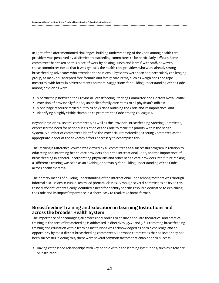In light of the aforementioned challenges, building understanding of the Code among health care providers was perceived by all district breastfeeding committees to be particularly difficult. Some committees had taken on this piece of work by hosting 'lunch and learns' with staff, however, those committees noted that it was typically the health care providers who were already strong breastfeeding advocates who attended the sessions. Physicians were seen as a particularly challenging group, as many still accepted free formula and family care items, such as weigh pads and tape measures, with formula advertisements on them. Suggestions for building understanding of the Code among physicians were:

- • A partnership between the Provincial Breastfeeding Steering Committee and Doctors Nova Scotia;
- • Provision of provincially funded, unlabelled family care items to all physician's offices;
- • A one page resource mailed out to all physicians outlining the Code and its importance; and
- Identifying a highly visible champion to promote the Code among colleagues.

Beyond physicians, several committees, as well as the Provincial Breastfeeding Steering Committee, expressed the need for national legislation of the Code to make it a priority within the health system. A number of committees identified the Provincial Breastfeeding Steering Committee as the appropriate leader of the advocacy efforts necessary to accomplish this.

The 'Making a Difference' course was viewed by all committees as a successful program in relation to educating and informing health care providers about the International Code, and the importance of breastfeeding in general. Incorporating physicians and other health care providers into future Making a Difference training was seen as an exciting opportunity for building understanding of the Code across health systems.

The primary means of building understanding of the International Code among mothers was through informal discussions in Public Health led prenatal classes. Although several committees believed this to be sufficient, others clearly identified a need for a family specific resource dedicated to explaining the Code and its impact/importance in a short, easy to read, take home format.

## **Breastfeeding Training and Education in Learning Institutions and across the broader Health System**

The importance of encouraging all professional bodies to ensure adequate theoretical and practical training in the area of breastfeeding is addressed in directives 5.5.VI and 5.8. Promoting breastfeeding training and education within learning institutions was acknowledged as both a challenge and an opportunity by most district breastfeeding committees. For those committees that believed they had been successful in doing this, there were several common factors that enabled their success:

• Having established relationships with key people within the learning institutions, such as a teacher or instructor;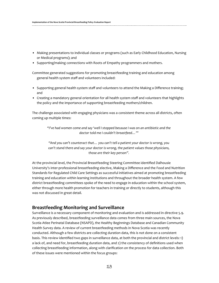- • Making presentations to individual classes or programs (such as Early Childhood Education, Nursing or Medical programs); and
- Supporting/making connections with Roots of Empathy programmers and mothers.

Committee generated suggestions for promoting breastfeeding training and education among general health system staff and volunteers included:

- • Supporting general health system staff and volunteers to attend the Making a Difference training; and
- • Creating a mandatory general orientation for all health system staff and volunteers that highlights the policy and the importance of supporting breastfeeding mothers/children.

The challenge associated with engaging physicians was a consistent theme across all districts, often coming up multiple times:

*"I've had women come and say 'well I stopped because I was on an antibiotic and the doctor told me I couldn't breastfeed…'"*

*"And you can't counteract that… you can't tell a patient your doctor is wrong, you can't stand there and say your doctor is wrong, the patient values those physicians, those are their key person".* 

At the provincial level, the Provincial Breastfeeding Steering Committee identified Dalhousie University's inter-professional breastfeeding elective, Making a Difference and the Food and Nutrition Standards for Regulated Child Care Settings as successful initiatives aimed at promoting breastfeeding training and education within learning institutions and throughout the broader health system. A few district breastfeeding committees spoke of the need to engage in education within the school system, either through more health promotion for teachers in training or directly to students, although this was not discussed in great detail.

## **Breastfeeding Monitoring and Surveillance**

Surveillance is a necessary component of monitoring and evaluation and is addressed in directive 5.9. As previously described, breastfeeding surveillance data comes from three main sources, the Nova Scotia Atlee Perinatal Database (NSAPD), the Healthy Beginnings Database and Canadian Community Health Survey data. A review of current breastfeeding methods in Nova Scotia was recently conducted. Although a few districts are collecting duration data, this is not done on a consistent basis. This review identified two gaps in surveillance data, at both the provincial and district levels: 1) a lack of, and need for, breastfeeding duration data, and 2) the consistency of definitions used when collecting breastfeeding information, along with clarification on the process for data collection. Both of these issues were mentioned within the focus groups: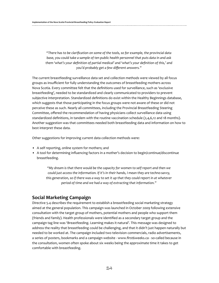*"There has to be clarification on some of the tools, so for example, the provincial data base, you could take a sample of ten public health personnel that puts data in and ask them 'what's your definition of partial medical' and 'what's your definition of this,' and you'd probably get a few different answers."*

The current breastfeeding surveillance data set and collection methods were viewed by all focus groups as insufficient for fully understanding the outcomes of breastfeeding mothers across Nova Scotia. Every committee felt that the definitions used for surveillance, such as 'exclusive breastfeeding', needed to be standardized and clearly communicated to providers to prevent subjective interpretation. Standardized definitions do exist within the Healthy Beginnings database, which suggests that those participating in the focus groups were not aware of these or did not perceive these as such. Nearly all committees, including the Provincial Breastfeeding Steering Committee, offered the recommendation of having physicians collect surveillance data using standardized definitions, in tandem with the routine vaccination schedule (2,4,6,12 and 18 months). Another suggestion was that committees needed both breastfeeding data and information on how to best interpret these data.

Other suggestions for improving current data collection methods were:

- A self reporting, online system for mothers; and
- • A tool for determining influencing factors in a mother's decision to begin/continue/discontinue breastfeeding.

*"My dream is that there would be the capacity for women to self report and then we could just access the information. If it's in their hands, I mean they are techno-savvy, this generation, so if there was a way to set it up that they could report in at whatever period of time and we had a way of extracting that information."* 

## **Social Marketing Campaign**

Directive 5.4 describes the requirement to establish a breastfeeding social marketing strategy aimed at the general population. This campaign was launched in October 2009 following extensive consultation with the target group of mothers, potential mothers and people who support them (friends and family). Health professionals were identified as a secondary target group and the campaign tag line was 'Breastfeeding. Learning makes it natural'. This message was designed to address the reality that breastfeeding could be challenging, and that it didn't just happen naturally but needed to be worked at. The campaign included two television commercials, radio advertisements, a series of posters, bookmarks and a campaign website - www.first6weeks.ca - so-called because in the consultation, women often spoke about six weeks being the approximate time it takes to get comfortable with breastfeeding.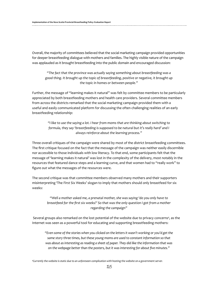Overall, the majority of committees believed that the social marketing campaign provided opportunities for deeper breastfeeding dialogue with mothers and families. The highly visible nature of the campaign was applauded as it brought breastfeeding into the public domain and encouraged discussion:

*"The fact that the province was actually saying something about breastfeeding was a good thing. It brought up the topic of breastfeeding, positive or negative, it brought up the topic in homes or between people."* 

Further, the message of "learning makes it natural" was felt by committee members to be particularly appreciated by both breastfeeding mothers and health care providers. Several committee members from across the districts remarked that the social marketing campaign provided them with a useful and easily communicated platform for discussing the often challenging realities of an early breastfeeding relationship:

> *"I like to use the saying a lot. I hear from moms that are thinking about switching to formula, they say 'breastfeeding is supposed to be natural but it's really hard' and I always reinforce about the learning process."*

Three overall critiques of the campaign were shared by most of the district breastfeeding committees. The first critique focused on the fact that the message of the campaign was neither easily discernible nor accessible to those individuals with low literacy. To that end, some participants felt that the message of 'learning makes it natural' was lost in the complexity of the delivery, most notably in the resources that featured dance steps and a learning curve, and that women had to "really work" to figure out what the messages of the resources were.

The second critique was that committee members observed many mothers and their supporters misinterpreting 'The First Six Weeks' slogan to imply that mothers should only breastfeed for six weeks:

> *"Well a mother asked me, a prenatal mother, she was saying 'do you only have to breastfeed for the first six weeks?' So that was the only question I got from a mother regarding the campaign"*

Several groups also remarked on the lost potential of the website due to privacy concerns<sup>4</sup>, as the Internet was seen as a powerful tool for educating and supporting breastfeeding mothers:

*"Even some of the stories when you clicked on the letters it wasn't working or you'd get the same story three times, but these young moms are used to constant information so that was about as interesting as reading a sheet of paper. They did like the information that was on the webpage better than the posters, but it was interesting for about five minutes."*

*4 Currently the website is static due to an unforeseen complication with hosting the website on a government server.*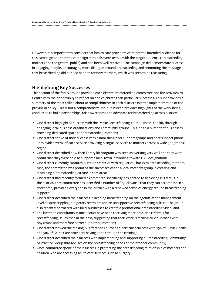However, it is important to consider that health care providers were not the intended audience for this campaign and that the campaign materials were tested with the target audience (breastfeeding mothers and the general public) and had been well-received. The campaign did demonstrate success in engaging people, encouraging more dialogue around breastfeeding and promoting the message that breastfeeding did not just happen for new mothers, which was seen to be reassuring.

## **Highlighting Key Successes**

This section of the focus groups provided each district breastfeeding committee and the IWK Health Centre with the opportunity to reflect on and celebrate their particular successes. This list provides a summary of the most talked about accomplishments in each district since the implementation of the provincial policy. This is not a comprehensive list, but instead provides highlights of the work being conducted to build partnerships, raise awareness and advocate for breastfeeding across districts:

- • One district highlighted success with the 'Make Breastfeeding Your Business' toolkit, through engaging local business organizations and community groups. This led to a number of businesses providing dedicated space for breastfeeding mothers;
- One district spoke of their success with establishing peer support groups and peer support phone lines, with several of each service providing bilingual services to mothers across a wide geographic region;
- • One district described how their library kit program was seen as working very well and they were proud that they were able to support a local town in working towards BFI designation;
- • One district currently captures duration statistics with regular call-backs to breastfeeding mothers. Also, the committee was proud of the successes of the a local mothers group in creating and sustaining a breastfeeding culture in that area;
- • One district had recently formed a committee specifically designated to achieving BFI status in the district. That committee has identified a number of "quick wins" that they can accomplish in a short time, providing everyone in the district with a renewed sense of energy around breastfeeding support;
- • One district described their success in keeping breastfeeding on the agenda at the management level despite crippling budgetary restraints and an unsupportive breastfeeding culture. The group also recently partnered with local businesses to create a promotional breastfeeding video; and
- The lactation consultants in one district have been receiving more physician referrals for breastfeeding issues than in the past, suggesting that their work is making crucial inroads with physicians and therefore better supporting mothers;
- • One district viewed the Making A Difference course as a particular success with 75% of Public Health and 50% of Acute Care providers having gone through the training;
- • One district described their success with implementing and supporting a Breastfeeding Community of Practice Group that focuses on the breastfeeding needs of the broader community;
- • Once committee spoke of their success in protecting the breastfeeding relationship of mothers and children who are accessing acute care services such as surgery.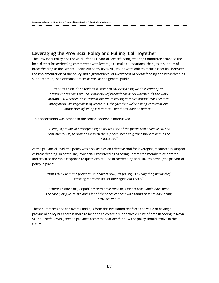## **Leveraging the Provincial Policy and Pulling it all Together**

The Provincial Policy and the work of the Provincial Breastfeeding Steering Committee provided the local district breastfeeding committees with leverage to make foundational changes in support of breastfeeding at the District Health Authority level. All groups were able to make a clear link between the implementation of the policy and a greater level of awareness of breastfeeding and breastfeeding support among senior management as well as the general public:

> *"I don't think it's an understatement to say everything we do is creating an environment that's around promotion of breastfeeding. So whether it's the work around BFI, whether it's conversations we're having at tables around cross-sectoral integration, like regardless of where it is, the fact that we're having conversations about breastfeeding is different. That didn't happen before."*

This observation was echoed in the senior leadership interviews:

*"Having a provincial breastfeeding policy was one of the pieces that I have used, and continue to use, to provide me with the support I need to garner support within the institution."* 

At the provincial level, the policy was also seen as an effective tool for leveraging resources in support of breastfeeding. In particular, Provincial Breastfeeding Steering Committee members celebrated and credited the rapid response to questions around breastfeeding and H1N1 to having the provincial policy in place:

*"But I think with the provincial endeavors now, it's pulling us all together, it's kind of creating more consistent messaging out there."*

*"There's a much bigger public face to breastfeeding support than would have been the case 4 or 5 years ago and a lot of that does connect with things that are happening province wide"*

These comments and the overall findings from this evaluation reinforce the value of having a provincial policy but there is more to be done to create a supportive culture of breastfeeding in Nova Scotia. The following section provides recommendations for how the policy should evolve in the future.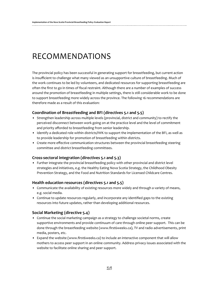# RECOMMENDATIONS

The provincial policy has been successful in generating support for breastfeeding, but current action is insufficient to challenge what many viewed as an unsupportive culture of breastfeeding. Much of the work continues to be led by volunteers, and dedicated resources for supporting breastfeeding are often the first to go in times of fiscal restraint. Although there are a number of examples of success around the promotion of breastfeeding in multiple settings, there is still considerable work to be done to support breastfeeding more widely across the province. The following 16 recommendations are therefore made as a result of this evaluation:

### **Coordination of Breastfeeding and BFI (directives 5.1 and 5.5)**

- • Strengthen leadership across multiple levels (provincial, district and community) to rectify the perceived disconnect between work going on at the practice level and the level of commitment and priority afforded to breastfeeding from senior leadership.
- Identify a dedicated role within districts/IWK to support the implementation of the BFI, as well as to provide leadership for promotion of breastfeeding within districts.
- • Create more effective communication structures between the provincial breastfeeding steering committee and district breastfeeding committees.

### **Cross-sectoral integration (directives 5.1 and 5.3)**

• Further integrate the provincial breastfeeding policy with other provincial and district level strategies and initiatives, e.g. the Healthy Eating Nova Scotia Strategy, the Childhood Obesity Prevention Strategy, and the Food and Nutrition Standards for Licensed Childcare Centres.

### **Health education resources (directives 5.1 and 5.5)**

- • Communicate the availability of existing resources more widely and through a variety of means, e.g. social media.
- • Continue to update resources regularly, and incorporate any identified gaps to the existing resources into future updates, rather than developing additional resources.

## **Social Marketing (directive 5.4)**

- • Continue the social marketing campaign as a strategy to challenge societal norms, create supportive environments and provide continuum of care through online peer support. This can be done through the breastfeeding website (www.first6weeks.ca), TV and radio advertisements, print media, posters, etc.
- • Expand the website (www.first6weeks.ca) to include an interactive component that will allow mothers to access peer support in an online community. Address privacy issues associated with the website to facilitate online sharing and peer support.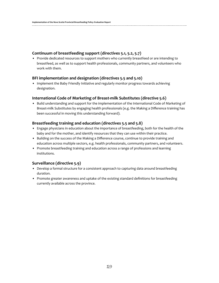#### **Continuum of breastfeeding support (directives 5.1, 5.2, 5.7)**

• Provide dedicated resources to support mothers who currently breastfeed or are intending to breastfeed, as well as to support health professionals, community partners, and volunteers who work with them.

#### **BFI implementation and designation (directives 5.5 and 5.10)**

• Implement the Baby Friendly Initiative and regularly monitor progress towards achieving designation.

#### **International Code of Marketing of Breast-milk Substitutes (directive 5.6)**

• Build understanding and support for the implementation of the International Code of Marketing of Breast-milk Substitutes by engaging health professionals (e.g. the Making a Difference training has been successful in moving this understanding forward).

#### **Breastfeeding training and education (directives 5.5 and 5.8)**

- • Engage physicians in education about the importance of breastfeeding, both for the health of the baby and for the mother, and identify resources that they can use within their practice.
- • Building on the success of the Making a Difference course, continue to provide training and education across multiple sectors, e.g. health professionals, community partners, and volunteers.
- • Promote breastfeeding training and education across a range of professions and learning institutions.

### **Surveillance (directive 5.9)**

- • Develop a formal structure for a consistent approach to capturing data around breastfeeding duration.
- • Promote greater awareness and uptake of the existing standard definitions for breastfeeding currently available across the province.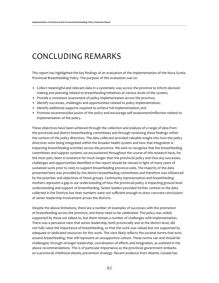# CONCLUDING REMARKS

This report has highlighted the key findings of an evaluation of the implementation of the Nova Scotia Provincial Breastfeeding Policy. The purpose of this evaluation was to:

- • Collect meaningful and relevant data in a systematic way across the province to inform decision making and planning related to breastfeeding initiatives at various levels of the system;
- Provide a consistent assessment of policy implementation across the province;
- Identify successes, challenges and opportunities related to policy implementation;
- Identify additional supports required to achieve full implementation; and
- • Promote awareness/discussion of the policy and encourage self-assessment/reflection related to implementation of the policy.

These objectives have been achieved through the collection and analysis of a range of data from the provincial and district breastfeeding committees and through reviewing these findings within the context of the policy directives. The data collected provided valuable insight into how the policy directives were being integrated within the broader health system and how that integration is impacting breastfeeding activities across the province. We wish to recognize that the breastfeeding committees and support systems we encountered throughout the course of this research have, for the most part, been in existence for much longer than the provincial policy and thus any successes, challenges and opportunities identified in this report should be viewed in light of many years of sustained work prior to 2005 to support breastfeeding province-wide. The majority of the data presented here was provided by the district breastfeeding committees and therefore was influenced by the priorities and objectives of those groups. Community representation and breastfeeding mothers represent a gap in our understanding of how the provincial policy is impacting ground level understanding and support of breastfeeding. Senior leaders provided further context to the data collected in the Districts but their numbers were not sufficient enough to draw concrete conclusions of senior leadership involvement across the districts.

Despite the above limitations, there are a number of examples of successes with the promotion of breastfeeding across the province, and these need to be celebrated. The policy was widely supported by those we talked to, but there remain a number of challenges with implementation. There was a pervasive view that senior leadership, both provincially and at the district level, did not fully value the importance of breastfeeding, or that the work was valued but not supported by adequate or dedicated resources for this work. This view likely reflects the societal norms that exist around breastfeeding, that still represent an unsupportive culture. These norms can and should be challenged, through stronger leadership, coordination of efforts and integration, as outlined in the above recommendations. This is of particular importance as the provincial government embarks on a provincial childhood obesity prevention strategy. Recent evidence from Atlantic Canada has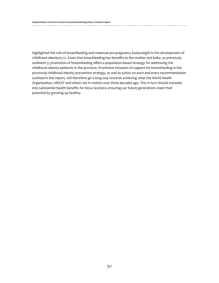highlighted the role of breastfeeding and maternal pre-pregnancy bodyweight in the development of childhood obesity15-17. Given that breastfeeding has benefits to the mother and baby, as previously outlined1-3, promotion of breastfeeding offers a population-based strategy for addressing the childhood obesity epidemic in the province. Prominent inclusion of support for breastfeeding in the provincial childhood obesity prevention strategy, as well as action on each and every recommendation outlined in this report, will therefore go a long way towards achieving what the World Health Organization, UNICEF and others set in motion over three decades ago. This in turn should translate into substantial health benefits for Nova Scotians, ensuring our future generations meet their potential by growing up healthy.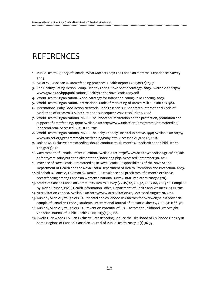# REFERENCES

- 1. Public Health Agency of Canada. What Mothers Say: The Canadian Maternal Experiences Survey 2009.
- 2. Millar WJ, Maclean H. Breastfeeding practices. Health Reports 2005;16(2):23-31.
- 3. The Healthy Eating Action Group. Healthy Eating Nova Scotia Strategy. 2005. Available at http:// www.gov.ns.ca/hpp/publications/HealthyEatingNovaScotia2005.pdf
- 4. World Health Organization. Global Strategy for Infant and Young Child Feeding. 2003.
- 5. World Health Organization. International Code of Marketing of Breast-Milk Substitutes 1981.
- 6. International Baby Food Action Network. Code Essentials 1: Annotated International Code of Marketing of Breastmilk Substitutes and subsequent WHA resolutions. 2008
- 7. World Health Organization/UNICEF. The Innocenti Declaration on the protection, promotion and support of breatfeeding. 1990; Available at: http://www.unicef.org/programme/breastfeeding/ innocenti.htm. Accessed August 20, 2011.
- 8. World Health Organization/UNICEF. The Baby-Friendly Hospital Initiative. 1991; Available at: http:// www.unicef.org/programme/breastfeeding/baby.htm. Accessed August 20, 2011.
- 9. Boland M. Exclusive breastfeeding should continue to six months. Paediatrics and Child Health 2005;10(3):148.
- 10. Government of Canada. Infant Nutrition. Available at: http://www.healthycanadians.gc.ca/init/kidsenfants/care-soins/nutrition-alimentation/index-eng.php. Accessed September 30, 2011.
- 11. Province of Nova Scotia. Breastfeeding in Nova Scotia: Responsibilities of the Nova Scotia Department of Health and the Nova Scotia Department of Health Promotion and Protection. 2005.
- 12. Al-Sahab B, Lanes A, Feldman M, Tamim H. Prevalence and predictors of 6-month exclusive breastfeeding among Canadian women: a national survey. BMC Pediatrics 2010;10 (20).
- 13. Statistics Canada Canadian Community Health Survey (CCHS) 1.1, 2.1, 3.1, 2007-08, 2009-10. Compiled by: Kevin Druhan, BIAP, Health Information Office, Department of Health and Wellness, 04Jul 2011.
- 14. Accreditation Canada. Available at: http://www.accreditation.ca/. Accessed August 20, 2011.
- 15. Kuhle S, Allen AC, Veugelers PJ. Perinatal and childhood risk factors for overweight in a provincial sample of Canadian Grade 5 students. International Journal of Pediatric Obesity, 2010; 5(1): 88-96.
- 16. Kuhle S, Allen AC, Veugelers PJ. Prevention Potential of Risk Factors for Childhood Overweight. Canadian Journal of Public Health 2010; 101(5): 365-68.
- 17. Twells L, Newhook LA. Can Exclusive Breastfeeding Reduce the Likelihood of Childhood Obesity in Some Regions of Canada? Canadian Journal of Public Health 2010;101(1):36-39.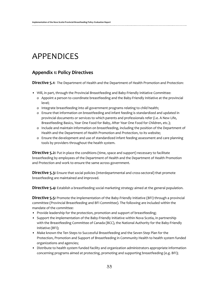# APPENDICES

# **Appendix 1: Policy Directives**

**Directive 5.1:** The Department of Health and the Department of Health Promotion and Protection:

- • Will, in part, through the Provincial Breastfeeding and Baby-Friendly Initiative Committee:
	- o Appoint a person to coordinate breastfeeding and the Baby-Friendly Initiative at the provincial level;
	- o Integrate breastfeeding into all government programs relating to child health;
	- o Ensure that information on breastfeeding and infant feeding is standardized and updated in provincial documents or services to which parents and professionals refer (i.e. A New Life, Breastfeeding Basics, Year One Food for Baby, After Year One Food for Children, etc.);
	- o Include and maintain information on breastfeeding, including the position of the Department of Health and the Department of Health Promotion and Protection, to its website;
	- o Ensure the development and use of standardized infant feeding assessment and care planning tools by providers throughout the health system.

**Directive 5.2:** Put in place the conditions (time, space and support) necessary to facilitate breastfeeding by employees of the Department of Health and the Department of Health Promotion and Protection and work to ensure the same across government.

**Directive 5.3:** Ensure that social policies (interdepartmental and cross-sectoral) that promote breastfeeding are maintained and improved.

**Directive 5.4:** Establish a breastfeeding social marketing strategy aimed at the general population.

**Directive 5.5:** Promote the implementation of the Baby-Friendly Initiative (BFI) through a provincial committee (Provincial Breastfeeding and BFI Committee). The following are included within the mandate of the committee:

- Provide leadership for the protection, promotion and support of breastfeeding;
- • Support the implementation of the Baby-Friendly Initiative within Nova Scotia, in partnership with the Breastfeeding Committee of Canada (BCC), the National Authority for the Baby-Friendly Initiative (BFI);
- Make known the Ten Steps to Successful Breastfeeding and the Seven Step Plan for the Protection, Promotion and Support of Breastfeeding in Community Health to health system funded organizations and agencies;
- Distribute to health system funded facility and organization administrators appropriate information concerning programs aimed at protecting, promoting and supporting breastfeeding (e.g. BFI);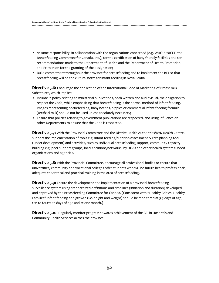- • Assume responsibility, in collaboration with the organizations concerned (e.g. WHO, UNICEF, the Breastfeeding Committee for Canada, etc.), for the certification of baby-friendly facilities and for recommendations made to the Department of Health and the Department of Health Promotion and Protection for the granting of the designation;
- • Build commitment throughout the province for breastfeeding and to implement the BFI so that breastfeeding will be the cultural norm for infant feeding in Nova Scotia.

**Directive 5.6:** Encourage the application of the International Code of Marketing of Breast-milk Substitutes, which implies:

- • Include in policy relating to ministerial publications, both written and audiovisual, the obligation to respect the Code, while emphasizing that breastfeeding is the normal method of infant feeding. Images representing bottlefeeding, baby bottles, nipples or commercial infant feeding formula (artificial milk) should not be used unless absolutely necessary;
- • Ensure that policies relating to government publications are respected, and using influence on other Departments to ensure that the Code is respected.

**Directive 5.7:** With the Provincial Committee and the District Health Authorities/IWK Health Centre, support the implementation of tools e.g. infant feeding/nutrition assessment & care planning tool (under development) and activities, such as, individual breastfeeding support, community capacity building e.g. peer support groups, local coalitions/networks, by DHAs and other health system funded organizations and agencies.

**Directive 5.8:** With the Provincial Committee, encourage all professional bodies to ensure that universities, community and vocational colleges offer students who will be future health professionals, adequate theoretical and practical training in the area of breastfeeding.

**Directive 5.9:** Ensure the development and implementation of a provincial breastfeeding surveillance system using standardized definitions and timelines (initiation and duration) developed and approved by the Breastfeeding Committee for Canada. [Consistent with "Healthy Babies, Healthy Families" infant feeding and growth (i.e. height and weight) should be monitored at 3-7 days of age, ten to fourteen days of age and at one month.]

**Directive 5.10:** Regularly monitor progress towards achievement of the BFI in Hospitals and Community Health Services across the province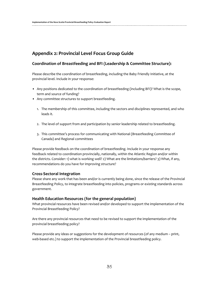# **Appendix 2: Provincial Level Focus Group Guide**

### **Coordination of Breastfeeding and BFI (Leadership & Committee Structure):**

Please describe the coordination of breastfeeding, including the Baby Friendly Initiative, at the provincial level. Include in your response:

- • Any positions dedicated to the coordination of breastfeeding (including BFI)? What is the scope, term and source of funding?
- Any committee structures to support breastfeeding.
	- 1. The membership of this committee, including the sectors and disciplines represented, and who leads it.
	- 2. The level of support from and participation by senior leadership related to breastfeeding.
	- 3. This committee's process for communicating with National (Breastfeeding Committee of Canada) and Regional committees

Please provide feedback on the coordination of breastfeeding. Include in your response any feedback related to coordination provincially, nationally, within the Atlantic Region and/or within the districts. Consider: 1) what is working well? 2) What are the limitations/barriers? 3) What, if any, recommendations do you have for improving structure?

### **Cross-Sectoral Integration**

Please share any work that has been and/or is currently being done, since the release of the Provincial Breastfeeding Policy, to integrate breastfeeding into policies, programs or existing standards across government.

### **Health Education Resources (for the general population)**

What provincial resources have been revised and/or developed to support the implementation of the Provincial Breastfeeding Policy?

Are there any provincial resources that need to be revised to support the implementation of the provincial breastfeeding policy?

Please provide any ideas or suggestions for the development of resources (of any medium – print, web-based etc.) to support the implementation of the Provincial breastfeeding policy.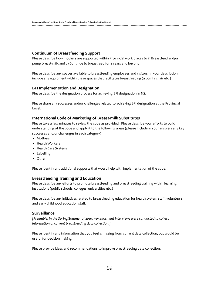#### **Continuum of Breastfeeding Support**

Please describe how mothers are supported within Provincial work places to 1) Breastfeed and/or pump breast-milk and 2) Continue to breastfeed for 2 years and beyond.

Please describe any spaces available to breastfeeding employees and visitors. In your description, include any equipment within these spaces that facilitates breastfeeding (a comfy chair etc.)

#### **BFI Implementation and Designation**

Please describe the designation process for achieving BFI designation in NS.

Please share any successes and/or challenges related to achieving BFI designation at the Provincial Level.

#### **International Code of Marketing of Breast-milk Substitutes**

Please take a few minutes to review the code as provided. Please describe your efforts to build understanding of the code and apply it to the following areas (please include in your answers any key successes and/or challenges in each category)

- Mothers
- • Health Workers
- • Health Care Systems
- • Labelling
- • Other

Please identify any additional supports that would help with implementation of the code.

#### **Breastfeeding Training and Education**

Please describe any efforts to promote breastfeeding and breastfeeding training within learning institutions (public schools, colleges, universities etc.)

Please describe any initiatives related to breastfeeding education for health system staff, volunteers and early childhood education staff.

### **Surveillance**

*[Preamble: In the Spring/Summer of 2010, key informant interviews were conducted to collect information of current breastfeeding data collection.]*

Please identify any information that you feel is missing from current data collection, but would be useful for decision making.

Please provide ideas and recommendations to improve breastfeeding data collection.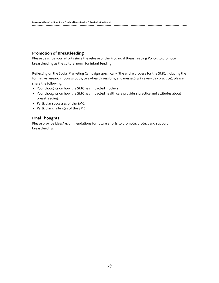### **Promotion of Breastfeeding**

Please describe your efforts since the release of the Provincial Breastfeeding Policy, to promote breastfeeding as the cultural norm for infant feeding.

Reflecting on the Social Marketing Campaign specifically (the entire process for the SMC, including the formative research, focus groups, telex-health sessions, and messaging in every day practice), please share the following:

- Your thoughts on how the SMC has impacted mothers.
- Your thoughts on how the SMC has impacted health care providers practice and attitudes about breastfeeding.
- Particular successes of the SMC.
- • Particular challenges of the SMC

#### **Final Thoughts**

Please provide ideas/recommendations for future efforts to promote, protect and support breastfeeding.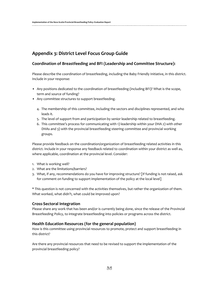# **Appendix 3: District Level Focus Group Guide**

### **Coordination of Breastfeeding and BFI (Leadership and Committee Structure):**

Please describe the coordination of breastfeeding, including the Baby Friendly Initiative, in this district. Include in your response:

- • Any positions dedicated to the coordination of breastfeeding (including BFI)? What is the scope, term and source of funding?
- Any committee structures to support breastfeeding.
	- 4. The membership of this committee, including the sectors and disciplines represented, and who leads it.
	- 5. The level of support from and participation by senior leadership related to breastfeeding.
	- 6. This committee's process for communicating with 1) leadership within your DHA 2) with other DHAs and 3) with the provincial breastfeeding steering committee and provincial working groups.

Please provide feedback on the coordination/organization of breastfeeding related activities in this district. Include in your response any feedback related to coordination within your district as well as, where applicable, coordination at the provincial level. Consider:

- 1. What is working well?
- 2. What are the limitations/barriers?
- 3. What, if any, recommendations do you have for improving structure? [If funding is not raised, ask for comment on funding to support implementation of the policy at the local level]

\* This question is not concerned with the activities themselves, but rather the organization of them. What worked, what didn't, what could be improved upon?

### **Cross-Sectoral Integration**

Please share any work that has been and/or is currently being done, since the release of the Provincial Breastfeeding Policy, to integrate breastfeeding into policies or programs across the district.

### **Health Education Resources (for the general population)**

How is this committee using provincial resources to promote, protect and support breastfeeding in this district?

Are there any provincial resources that need to be revised to support the implementation of the provincial breastfeeding policy?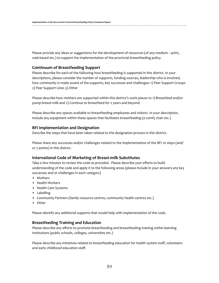Please provide any ideas or suggestions for the development of resources (of any medium – print, web-based etc.) to support the implementation of the provincial breastfeeding policy.

#### **Continuum of Breastfeeding Support**

Please describe for each of the following how breastfeeding is supported in this district. In your descriptions, please consider the number of supports, funding sources, leadership who is involved, how community is made aware of the supports, key successes and challenges: 1) Peer Support Groups 2) Peer Support Lines 3) Other

Please describe how mothers are supported within this district's work places to 1) Breastfeed and/or pump breast-milk and 2) Continue to breastfeed for 2 years and beyond.

Please describe any spaces available to breastfeeding employees and visitors. In your description, include any equipment within these spaces that facilitates breastfeeding (a comfy chair etc.)

#### **BFI Implementation and Designation**

Describe the steps that have been taken related to the designation process in this district.

Please share any successes and/or challenges related to the implementation of the BFI 10 steps (and/ or 7 points) in this district.

#### **International Code of Marketing of Breast-milk Substitutes**

Take a few minutes to review the code as provided. Please describe your efforts to build understanding of the code and apply it to the following areas (please include in your answers any key successes and or challenges in each category)

- • Mothers
- • Health Workers
- • Health Care Systems
- • Labelling
- Community Partners (family resource centres, community health centres etc.)
- • Other

Please identify any additional supports that would help with implementation of the code.

#### **Breastfeeding Training and Education**

Please describe any efforts to promote breastfeeding and breastfeeding training within learning institutions (public schools, colleges, universities etc.)

Please describe any initiatives related to breastfeeding education for health system staff, volunteers and early childhood education staff.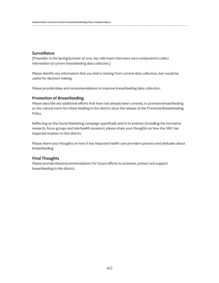#### **Surveillance**

*[Preamble: In the Spring/Summer of 2010, key informant interviews were conducted to collect information of current breastfeeding data collection.]*

Please identify any information that you feel is missing from current data collection, but would be useful for decision making.

Please provide ideas and recommendations to improve breastfeeding data collection.

#### **Promotion of Breastfeeding**

Please describe any additional efforts that have not already been covered, to promote breastfeeding as the cultural norm for infant feeding in this district since the release of the Provincial Breastfeeding Policy.

Reflecting on the Social Marketing Campaign specifically and in its entirety (including the formative research, focus groups and tele-health sessions), please share your thoughts on how the SMC has impacted mothers in this district.

Please share your thoughts on how it has impacted health care providers practice and attitudes about breastfeeding.

#### **Final Thoughts**

Please provide ideas/recommendations for future efforts to promote, protect and support breastfeeding in this district.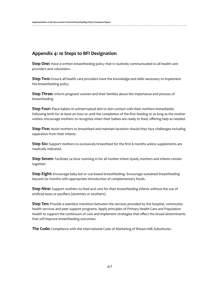# **Appendix 4: 10 Steps to BFI Designation**

**Step One:** Have a written breastfeeding policy that is routinely communicated to all health care providers and volunteers.

**Step Two:** Ensure all health care providers have the knowledge and skills necessary to implement the breastfeeding policy

**Step Three:** Inform pregnant women and their families about the importance and process of breastfeeding

**Step Four:** Place babies in uninterrupted skin to skin contact with their mothers immediately following birth for at least an hour or until the completion of the first feeding or as long as the mother wishes: encourage mothers to recognize when their babies are ready to feed, offering help as needed.

**Step Five:** Assist mothers to breastfeed and maintain lactation should they face challenges including separation from their infants.

**Step Six:** Support mothers to exclusively breastfeed for the first 6 months unless supplements are medically indicated.

**Step Seven:** Facilitate 24 hour rooming in for all mother infant dyads; mothers and infants remain together.

**Step Eight:** Encourage baby-led or cue-based breastfeeding. Encourage sustained breastfeeding beyond six months with appropriate introduction of complementary foods.

**Step Nine:** Support mothers to feed and care for their breastfeeding infants without the use of artificial teats or pacifiers (dummies or soothers).

**Step Ten:** Provide a seamless transition between the services provided by the hospital, community health services and peer support programs. Apply principles of Primary Health Care and Population Health to support the continuum of care and implement strategies that affect the broad determinants that will improve breastfeeding outcomes.

**The Code:** Compliance with the International Code of Marketing of Breast-milk Substitutes.